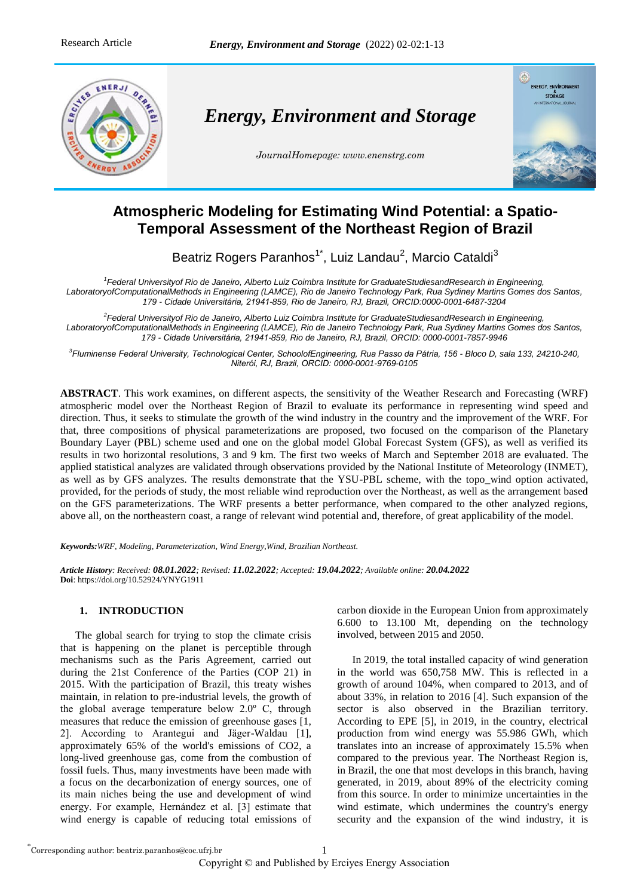

*Energy, Environment and Storage*

*JournalHomepage: www.enenstrg.com*



# **Atmospheric Modeling for Estimating Wind Potential: a Spatio-Temporal Assessment of the Northeast Region of Brazil**

Beatriz Rogers Paranhos<sup>1\*</sup>, Luiz Landau<sup>2</sup>, Marcio Cataldi<sup>3</sup>

<sup>1</sup> Federal Universityof Rio de Janeiro, Alberto Luiz Coimbra Institute for GraduateStudiesandResearch in Engineering, *LaboratoryofComputationalMethods in Engineering (LAMCE), Rio de Janeiro Technology Park, Rua Sydiney Martins Gomes dos Santos, 179 - Cidade Universitária, 21941-859, Rio de Janeiro, RJ, Brazil, ORCID:0000-0001-6487-3204*

*2 Federal Universityof Rio de Janeiro, Alberto Luiz Coimbra Institute for GraduateStudiesandResearch in Engineering, LaboratoryofComputationalMethods in Engineering (LAMCE), Rio de Janeiro Technology Park, Rua Sydiney Martins Gomes dos Santos, 179 - Cidade Universitária, 21941-859, Rio de Janeiro, RJ, Brazil, ORCID: 0000-0001-7857-9946*

*3 Fluminense Federal University, Technological Center, SchoolofEngineering, Rua Passo da Pátria, 156 - Bloco D, sala 133, 24210-240, Niterói, RJ, Brazil, ORCID: 0000-0001-9769-0105*

**ABSTRACT**. This work examines, on different aspects, the sensitivity of the Weather Research and Forecasting (WRF) atmospheric model over the Northeast Region of Brazil to evaluate its performance in representing wind speed and direction. Thus, it seeks to stimulate the growth of the wind industry in the country and the improvement of the WRF. For that, three compositions of physical parameterizations are proposed, two focused on the comparison of the Planetary Boundary Layer (PBL) scheme used and one on the global model Global Forecast System (GFS), as well as verified its results in two horizontal resolutions, 3 and 9 km. The first two weeks of March and September 2018 are evaluated. The applied statistical analyzes are validated through observations provided by the National Institute of Meteorology (INMET), as well as by GFS analyzes. The results demonstrate that the YSU-PBL scheme, with the topo\_wind option activated, provided, for the periods of study, the most reliable wind reproduction over the Northeast, as well as the arrangement based on the GFS parameterizations. The WRF presents a better performance, when compared to the other analyzed regions, above all, on the northeastern coast, a range of relevant wind potential and, therefore, of great applicability of the model.

*Keywords:WRF, Modeling, Parameterization, Wind Energy,Wind, Brazilian Northeast.*

*Article History: Received: 08.01.2022; Revised: 11.02.2022; Accepted: 19.04.2022; Available online: 20.04.2022* **Doi**: https://doi.org/10.52924/YNYG1911

## **1. INTRODUCTION**

The global search for trying to stop the climate crisis that is happening on the planet is perceptible through mechanisms such as the Paris Agreement, carried out during the 21st Conference of the Parties (COP 21) in 2015. With the participation of Brazil, this treaty wishes maintain, in relation to pre-industrial levels, the growth of the global average temperature below 2.0º C, through measures that reduce the emission of greenhouse gases [1, 2]. According to Arantegui and Jäger-Waldau [1], approximately 65% of the world's emissions of CO2, a long-lived greenhouse gas, come from the combustion of fossil fuels. Thus, many investments have been made with a focus on the decarbonization of energy sources, one of its main niches being the use and development of wind energy. For example, Hernández et al. [3] estimate that wind energy is capable of reducing total emissions of carbon dioxide in the European Union from approximately 6.600 to 13.100 Mt, depending on the technology involved, between 2015 and 2050.

In 2019, the total installed capacity of wind generation in the world was 650,758 MW. This is reflected in a growth of around 104%, when compared to 2013, and of about 33%, in relation to 2016 [4]. Such expansion of the sector is also observed in the Brazilian territory. According to EPE [5], in 2019, in the country, electrical production from wind energy was 55.986 GWh, which translates into an increase of approximately 15.5% when compared to the previous year. The Northeast Region is, in Brazil, the one that most develops in this branch, having generated, in 2019, about 89% of the electricity coming from this source. In order to minimize uncertainties in the wind estimate, which undermines the country's energy security and the expansion of the wind industry, it is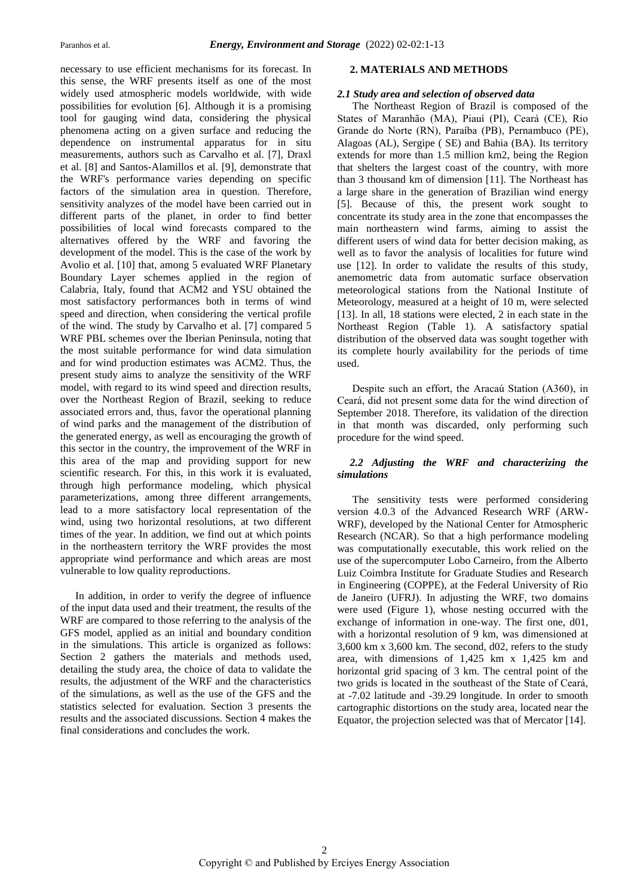necessary to use efficient mechanisms for its forecast. In this sense, the WRF presents itself as one of the most widely used atmospheric models worldwide, with wide possibilities for evolution [6]. Although it is a promising tool for gauging wind data, considering the physical phenomena acting on a given surface and reducing the dependence on instrumental apparatus for in situ measurements, authors such as Carvalho et al. [7], Draxl et al. [8] and Santos-Alamillos et al. [9], demonstrate that the WRF's performance varies depending on specific factors of the simulation area in question. Therefore, sensitivity analyzes of the model have been carried out in different parts of the planet, in order to find better possibilities of local wind forecasts compared to the alternatives offered by the WRF and favoring the development of the model. This is the case of the work by Avolio et al. [10] that, among 5 evaluated WRF Planetary Boundary Layer schemes applied in the region of Calabria, Italy, found that ACM2 and YSU obtained the most satisfactory performances both in terms of wind speed and direction, when considering the vertical profile of the wind. The study by Carvalho et al. [7] compared 5 WRF PBL schemes over the Iberian Peninsula, noting that the most suitable performance for wind data simulation and for wind production estimates was ACM2. Thus, the present study aims to analyze the sensitivity of the WRF model, with regard to its wind speed and direction results, over the Northeast Region of Brazil, seeking to reduce associated errors and, thus, favor the operational planning of wind parks and the management of the distribution of the generated energy, as well as encouraging the growth of this sector in the country, the improvement of the WRF in this area of the map and providing support for new scientific research. For this, in this work it is evaluated, through high performance modeling, which physical parameterizations, among three different arrangements, lead to a more satisfactory local representation of the wind, using two horizontal resolutions, at two different times of the year. In addition, we find out at which points in the northeastern territory the WRF provides the most appropriate wind performance and which areas are most vulnerable to low quality reproductions.

In addition, in order to verify the degree of influence of the input data used and their treatment, the results of the WRF are compared to those referring to the analysis of the GFS model, applied as an initial and boundary condition in the simulations. This article is organized as follows: Section 2 gathers the materials and methods used, detailing the study area, the choice of data to validate the results, the adjustment of the WRF and the characteristics of the simulations, as well as the use of the GFS and the statistics selected for evaluation. Section 3 presents the results and the associated discussions. Section 4 makes the final considerations and concludes the work.

#### **2. MATERIALS AND METHODS**

## *2.1 Study area and selection of observed data*

The Northeast Region of Brazil is composed of the States of Maranhão (MA), Piauí (PI), Ceará (CE), Rio Grande do Norte (RN), Paraíba (PB), Pernambuco (PE), Alagoas (AL), Sergipe ( SE) and Bahia (BA). Its territory extends for more than 1.5 million km2, being the Region that shelters the largest coast of the country, with more than 3 thousand km of dimension [11]. The Northeast has a large share in the generation of Brazilian wind energy [5]. Because of this, the present work sought to concentrate its study area in the zone that encompasses the main northeastern wind farms, aiming to assist the different users of wind data for better decision making, as well as to favor the analysis of localities for future wind use [12]. In order to validate the results of this study, anemometric data from automatic surface observation meteorological stations from the National Institute of Meteorology, measured at a height of 10 m, were selected [13]. In all, 18 stations were elected, 2 in each state in the Northeast Region (Table 1). A satisfactory spatial distribution of the observed data was sought together with its complete hourly availability for the periods of time used.

Despite such an effort, the Aracaú Station (A360), in Ceará, did not present some data for the wind direction of September 2018. Therefore, its validation of the direction in that month was discarded, only performing such procedure for the wind speed.

## *2.2 Adjusting the WRF and characterizing the simulations*

The sensitivity tests were performed considering version 4.0.3 of the Advanced Research WRF (ARW-WRF), developed by the National Center for Atmospheric Research (NCAR). So that a high performance modeling was computationally executable, this work relied on the use of the supercomputer Lobo Carneiro, from the Alberto Luiz Coimbra Institute for Graduate Studies and Research in Engineering (COPPE), at the Federal University of Rio de Janeiro (UFRJ). In adjusting the WRF, two domains were used (Figure 1), whose nesting occurred with the exchange of information in one-way. The first one, d01, with a horizontal resolution of 9 km, was dimensioned at 3,600 km x 3,600 km. The second, d02, refers to the study area, with dimensions of 1,425 km x 1,425 km and horizontal grid spacing of 3 km. The central point of the two grids is located in the southeast of the State of Ceará, at -7.02 latitude and -39.29 longitude. In order to smooth cartographic distortions on the study area, located near the Equator, the projection selected was that of Mercator [14].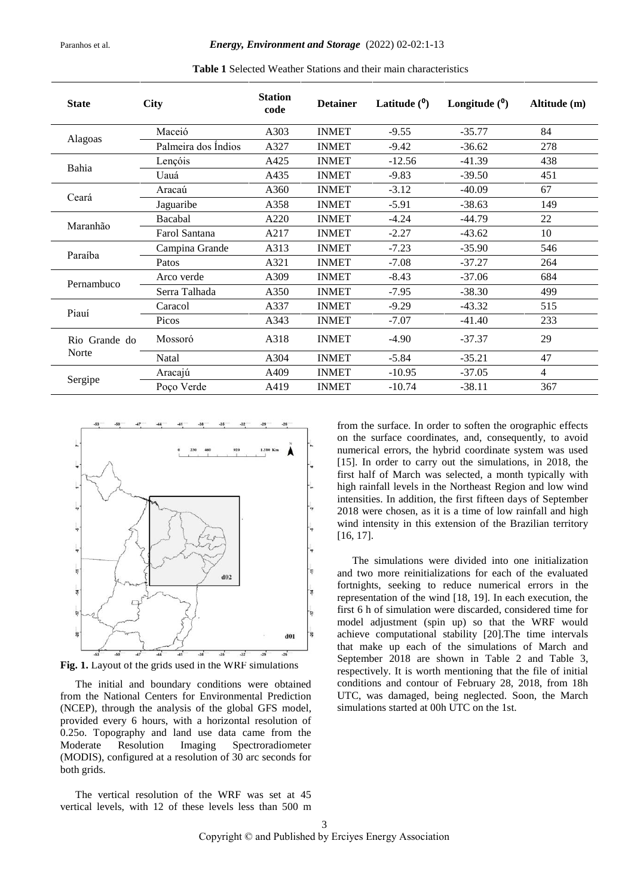| <b>State</b>           | <b>City</b>         | <b>Station</b><br>code | <b>Detainer</b> | Latitude $(0)$ | Longitude $(0)$ | Altitude (m)   |
|------------------------|---------------------|------------------------|-----------------|----------------|-----------------|----------------|
|                        | Maceió              | A303                   | <b>INMET</b>    | $-9.55$        | $-35.77$        | 84             |
| Alagoas                | Palmeira dos Indios | A327                   | <b>INMET</b>    | $-9.42$        | $-36.62$        | 278            |
| Bahia                  | Lençóis             | A425                   | <b>INMET</b>    | $-12.56$       | $-41.39$        | 438            |
|                        | Uauá                | A435                   | <b>INMET</b>    | $-9.83$        | $-39.50$        | 451            |
|                        | Aracaú              | A360                   | <b>INMET</b>    | $-3.12$        | $-40.09$        | 67             |
| Ceará                  | Jaguaribe           | A358                   | <b>INMET</b>    | $-5.91$        | $-38.63$        | 149            |
| Maranhão               | Bacabal             | A220                   | <b>INMET</b>    | $-4.24$        | $-44.79$        | 22             |
|                        | Farol Santana       | A217                   | <b>INMET</b>    | $-2.27$        | $-43.62$        | 10             |
|                        | Campina Grande      | A313                   | <b>INMET</b>    | $-7.23$        | $-35.90$        | 546            |
| Paraíba                | Patos               | A321                   | <b>INMET</b>    | $-7.08$        | $-37.27$        | 264            |
| Pernambuco             | Arco verde          | A309                   | <b>INMET</b>    | $-8.43$        | $-37.06$        | 684            |
|                        | Serra Talhada       | A350                   | <b>INMET</b>    | $-7.95$        | $-38.30$        | 499            |
| Piauí                  | Caracol             | A337                   | <b>INMET</b>    | $-9.29$        | $-43.32$        | 515            |
|                        | Picos               | A343                   | <b>INMET</b>    | $-7.07$        | $-41.40$        | 233            |
| Rio Grande do<br>Norte | Mossoró             | A318                   | <b>INMET</b>    | $-4.90$        | $-37.37$        | 29             |
|                        | Natal               | A304                   | <b>INMET</b>    | $-5.84$        | $-35.21$        | 47             |
| Sergipe                | Aracajú             | A409                   | <b>INMET</b>    | $-10.95$       | $-37.05$        | $\overline{4}$ |
|                        | Poço Verde          | A419                   | <b>INMET</b>    | $-10.74$       | $-38.11$        | 367            |

**Table 1** Selected Weather Stations and their main characteristics



**Fig. 1.** Layout of the grids used in the WRF simulations

The initial and boundary conditions were obtained from the National Centers for Environmental Prediction (NCEP), through the analysis of the global GFS model, provided every 6 hours, with a horizontal resolution of 0.25o. Topography and land use data came from the Moderate Resolution Imaging Spectroradiometer (MODIS), configured at a resolution of 30 arc seconds for both grids.

The vertical resolution of the WRF was set at 45 vertical levels, with 12 of these levels less than 500 m from the surface. In order to soften the orographic effects on the surface coordinates, and, consequently, to avoid numerical errors, the hybrid coordinate system was used [15]. In order to carry out the simulations, in 2018, the first half of March was selected, a month typically with high rainfall levels in the Northeast Region and low wind intensities. In addition, the first fifteen days of September 2018 were chosen, as it is a time of low rainfall and high wind intensity in this extension of the Brazilian territory [16, 17].

The simulations were divided into one initialization and two more reinitializations for each of the evaluated fortnights, seeking to reduce numerical errors in the representation of the wind [18, 19]. In each execution, the first 6 h of simulation were discarded, considered time for model adjustment (spin up) so that the WRF would achieve computational stability [20].The time intervals that make up each of the simulations of March and September 2018 are shown in Table 2 and Table 3, respectively. It is worth mentioning that the file of initial conditions and contour of February 28, 2018, from 18h UTC, was damaged, being neglected. Soon, the March simulations started at 00h UTC on the 1st.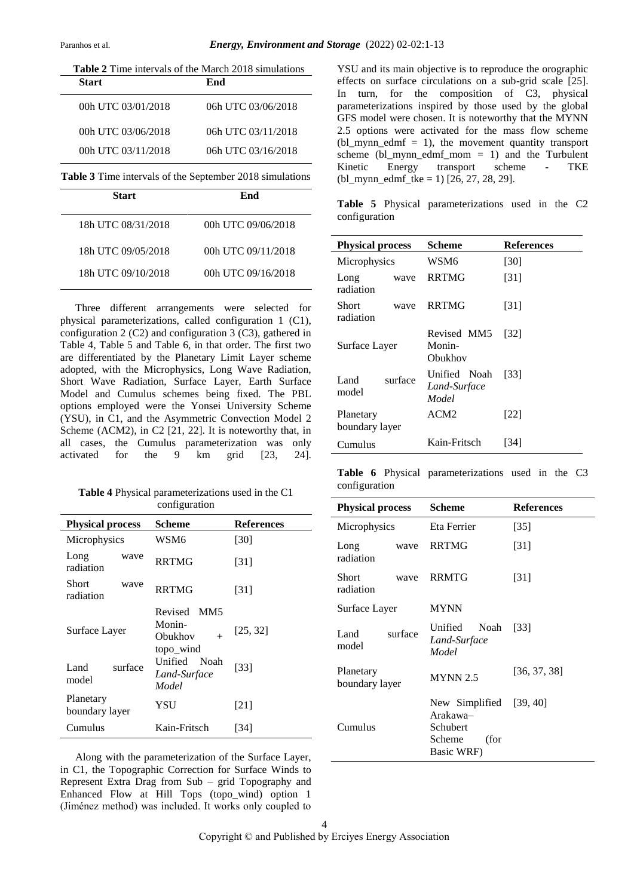| <b>Start</b>                                             | <b>Table 2</b> Time intervals of the March 2018 simulations<br>End |
|----------------------------------------------------------|--------------------------------------------------------------------|
|                                                          |                                                                    |
| 00h UTC 03/01/2018                                       | 06h UTC 03/06/2018                                                 |
| 00h UTC 03/06/2018                                       | 06h UTC 03/11/2018                                                 |
| 00h UTC 03/11/2018                                       | 06h UTC 03/16/2018                                                 |
| Table 3 Time intervals of the September 2018 simulations |                                                                    |

**Start End** 18h UTC 08/31/2018 00h UTC 09/06/2018 18h UTC 09/05/2018 00h UTC 09/11/2018 18h UTC 09/10/2018 00h UTC 09/16/2018

Three different arrangements were selected for physical parameterizations, called configuration 1 (C1), configuration 2 (C2) and configuration 3 (C3), gathered in Table 4, Table 5 and Table 6, in that order. The first two are differentiated by the Planetary Limit Layer scheme adopted, with the Microphysics, Long Wave Radiation, Short Wave Radiation, Surface Layer, Earth Surface Model and Cumulus schemes being fixed. The PBL options employed were the Yonsei University Scheme (YSU), in C1, and the Asymmetric Convection Model 2 Scheme (ACM2), in C2 [21, 22]. It is noteworthy that, in all cases, the Cumulus parameterization was only activated for the 9 km grid [23, 24].

**Table 4** Physical parameterizations used in the C1 configuration

| <b>Physical process</b>     | Scheme                                                                 | <b>References</b> |
|-----------------------------|------------------------------------------------------------------------|-------------------|
| Microphysics                | WSM6                                                                   | [30]              |
| Long<br>wave<br>radiation   | <b>RRTMG</b>                                                           | [31]              |
| Short<br>wave<br>radiation  | <b>RRTMG</b>                                                           | [31]              |
| Surface Layer               | Revised<br>MM <sub>5</sub><br>Monin-<br>Obukhov<br>$^{+}$<br>topo wind | [25, 32]          |
| surface<br>Land<br>model    | Unified Noah<br>Land-Surface<br>Model                                  | $[33]$            |
| Planetary<br>boundary layer | YSU                                                                    | [21]              |
| Cumulus                     | Kain-Fritsch                                                           | [34]              |

Along with the parameterization of the Surface Layer, in C1, the Topographic Correction for Surface Winds to Represent Extra Drag from Sub – grid Topography and Enhanced Flow at Hill Tops (topo\_wind) option 1 (Jiménez method) was included. It works only coupled to

YSU and its main objective is to reproduce the orographic effects on surface circulations on a sub-grid scale [25]. In turn, for the composition of C3, physical parameterizations inspired by those used by the global GFS model were chosen. It is noteworthy that the MYNN 2.5 options were activated for the mass flow scheme  $(bl_mym\_edmf = 1)$ , the movement quantity transport scheme (bl\_mynn\_edmf\_mom = 1) and the Turbulent Kinetic Energy transport scheme - TKE  $(bl_mynn\_edmf\_tke = 1)$  [26, 27, 28, 29].

**Table 5** Physical parameterizations used in the C2 configuration

| <b>Physical process</b>     |         | Scheme                                | <b>References</b>  |
|-----------------------------|---------|---------------------------------------|--------------------|
| Microphysics                |         | WSM6                                  | [30]               |
| Long<br>radiation           | wave    | <b>RRTMG</b>                          | [31]               |
| Short<br>radiation          | wave    | <b>RRTMG</b>                          | $\lceil 31 \rceil$ |
| Surface Layer               |         | Revised MM5<br>Monin-<br>Obukhov      | [32]               |
| Land.<br>model              | surface | Unified Noah<br>Land-Surface<br>Model | [33]               |
| Planetary<br>boundary layer |         | ACM2                                  | [22]               |
| Cumulus                     |         | Kain-Fritsch                          | [34]               |

**Table 6** Physical parameterizations used in the C3 configuration

| <b>Physical process</b>           | Scheme                                                                          | <b>References</b> |
|-----------------------------------|---------------------------------------------------------------------------------|-------------------|
| Microphysics                      | Eta Ferrier                                                                     | $[35]$            |
| Long<br>wave<br>radiation         | <b>RRTMG</b>                                                                    | [31]              |
| <b>Short</b><br>wave<br>radiation | <b>RRMTG</b>                                                                    | [31]              |
| Surface Layer                     | <b>MYNN</b>                                                                     |                   |
| surface<br>Land<br>model          | Unified<br>Noah<br>Land-Surface<br>Model                                        | [33]              |
| Planetary<br>boundary layer       | <b>MYNN 2.5</b>                                                                 | [36, 37, 38]      |
| Cumulus                           | New Simplified [39, 40]<br>Arakawa-<br>Schubert<br>(for<br>Scheme<br>Basic WRF) |                   |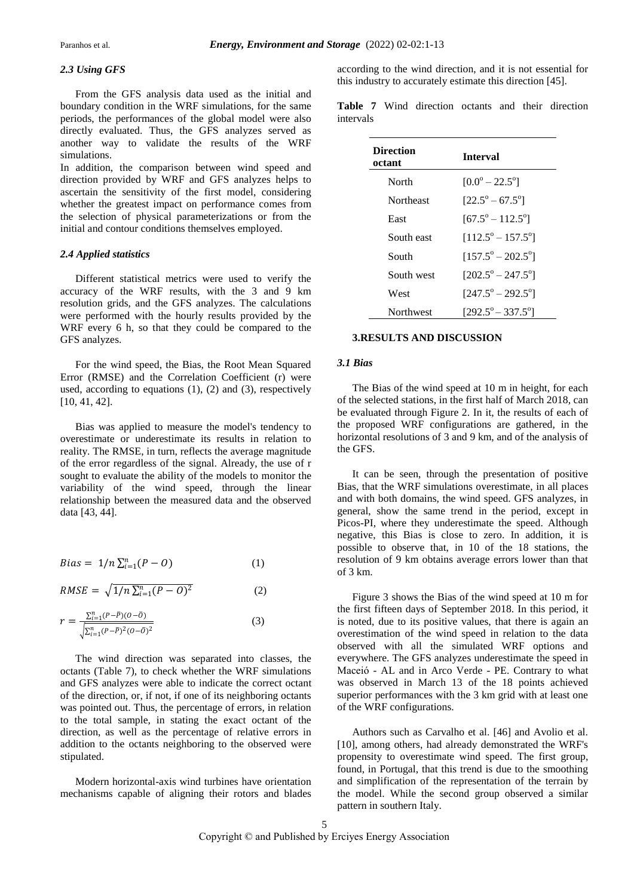## *2.3 Using GFS*

From the GFS analysis data used as the initial and boundary condition in the WRF simulations, for the same periods, the performances of the global model were also directly evaluated. Thus, the GFS analyzes served as another way to validate the results of the WRF simulations.

In addition, the comparison between wind speed and direction provided by WRF and GFS analyzes helps to ascertain the sensitivity of the first model, considering whether the greatest impact on performance comes from the selection of physical parameterizations or from the initial and contour conditions themselves employed.

## *2.4 Applied statistics*

Different statistical metrics were used to verify the accuracy of the WRF results, with the 3 and 9 km resolution grids, and the GFS analyzes. The calculations were performed with the hourly results provided by the WRF every 6 h, so that they could be compared to the GFS analyzes.

For the wind speed, the Bias, the Root Mean Squared Error (RMSE) and the Correlation Coefficient (r) were used, according to equations (1), (2) and (3), respectively [10, 41, 42].

Bias was applied to measure the model's tendency to overestimate or underestimate its results in relation to reality. The RMSE, in turn, reflects the average magnitude of the error regardless of the signal. Already, the use of r sought to evaluate the ability of the models to monitor the variability of the wind speed, through the linear relationship between the measured data and the observed data [43, 44].

$$
Bias = 1/n \sum_{i=1}^{n} (P - O) \tag{1}
$$

$$
RMSE = \sqrt{1/n \sum_{i=1}^{n} (P - O)^{2}}
$$
 (2)

$$
r = \frac{\sum_{i=1}^{n} (P - \bar{P})(O - \bar{O})}{\sqrt{\sum_{i=1}^{n} (P - \bar{P})^2 (O - \bar{O})^2}}
$$
(3)

The wind direction was separated into classes, the octants (Table 7), to check whether the WRF simulations and GFS analyzes were able to indicate the correct octant of the direction, or, if not, if one of its neighboring octants was pointed out. Thus, the percentage of errors, in relation to the total sample, in stating the exact octant of the direction, as well as the percentage of relative errors in addition to the octants neighboring to the observed were stipulated.

Modern horizontal-axis wind turbines have orientation mechanisms capable of aligning their rotors and blades

according to the wind direction, and it is not essential for this industry to accurately estimate this direction [45].

**Table 7** Wind direction octants and their direction intervals

| <b>Direction</b><br>octant | <b>Interval</b>                   |
|----------------------------|-----------------------------------|
| North                      | $[0.0^{\circ} - 22.5^{\circ}]$    |
| Northeast                  | $[22.5^{\circ} - 67.5^{\circ}]$   |
| East                       | $[67.5^{\circ} - 112.5^{\circ}]$  |
| South east                 | $[112.5^{\circ} - 157.5^{\circ}]$ |
| South                      | $[157.5^{\circ} - 202.5^{\circ}]$ |
| South west                 | $[202.5^{\circ} - 247.5^{\circ}]$ |
| West                       | $[247.5^{\circ} - 292.5^{\circ}]$ |
| Northwest                  | $[292.5^{\circ} - 337.5^{\circ}]$ |

#### **3.RESULTS AND DISCUSSION**

#### *3.1 Bias*

The Bias of the wind speed at 10 m in height, for each of the selected stations, in the first half of March 2018, can be evaluated through Figure 2. In it, the results of each of the proposed WRF configurations are gathered, in the horizontal resolutions of 3 and 9 km, and of the analysis of the GFS.

It can be seen, through the presentation of positive Bias, that the WRF simulations overestimate, in all places and with both domains, the wind speed. GFS analyzes, in general, show the same trend in the period, except in Picos-PI, where they underestimate the speed. Although negative, this Bias is close to zero. In addition, it is possible to observe that, in 10 of the 18 stations, the resolution of 9 km obtains average errors lower than that of 3 km.

Figure 3 shows the Bias of the wind speed at 10 m for the first fifteen days of September 2018. In this period, it is noted, due to its positive values, that there is again an overestimation of the wind speed in relation to the data observed with all the simulated WRF options and everywhere. The GFS analyzes underestimate the speed in Maceió - AL and in Arco Verde - PE. Contrary to what was observed in March 13 of the 18 points achieved superior performances with the 3 km grid with at least one of the WRF configurations.

Authors such as Carvalho et al. [46] and Avolio et al. [10], among others, had already demonstrated the WRF's propensity to overestimate wind speed. The first group, found, in Portugal, that this trend is due to the smoothing and simplification of the representation of the terrain by the model. While the second group observed a similar pattern in southern Italy.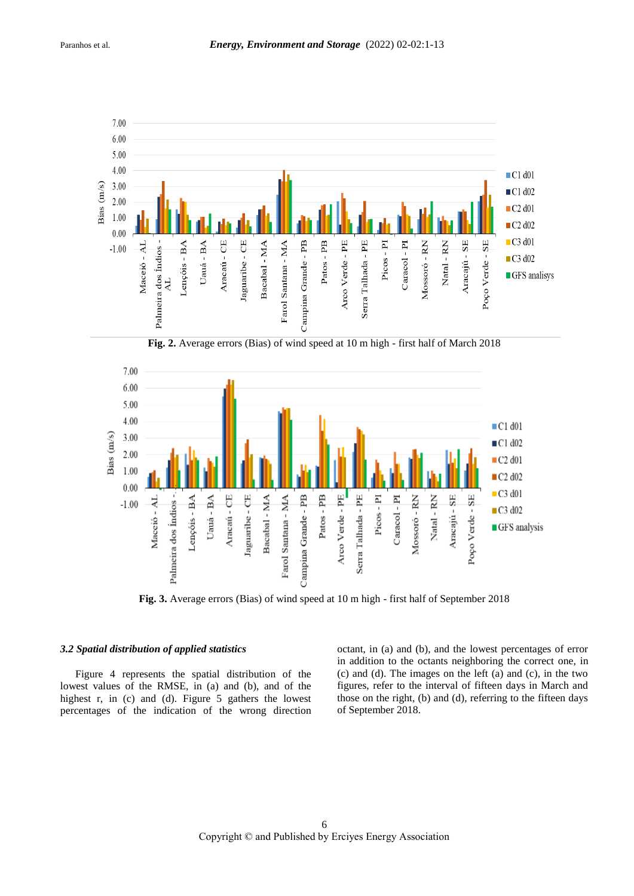

**Fig. 2.** Average errors (Bias) of wind speed at 10 m high - first half of March 2018



**Fig. 3.** Average errors (Bias) of wind speed at 10 m high - first half of September 2018

## *3.2 Spatial distribution of applied statistics*

Figure 4 represents the spatial distribution of the lowest values of the RMSE, in (a) and (b), and of the highest r, in (c) and (d). Figure 5 gathers the lowest percentages of the indication of the wrong direction

octant, in (a) and (b), and the lowest percentages of error in addition to the octants neighboring the correct one, in (c) and (d). The images on the left (a) and (c), in the two figures, refer to the interval of fifteen days in March and those on the right, (b) and (d), referring to the fifteen days of September 2018.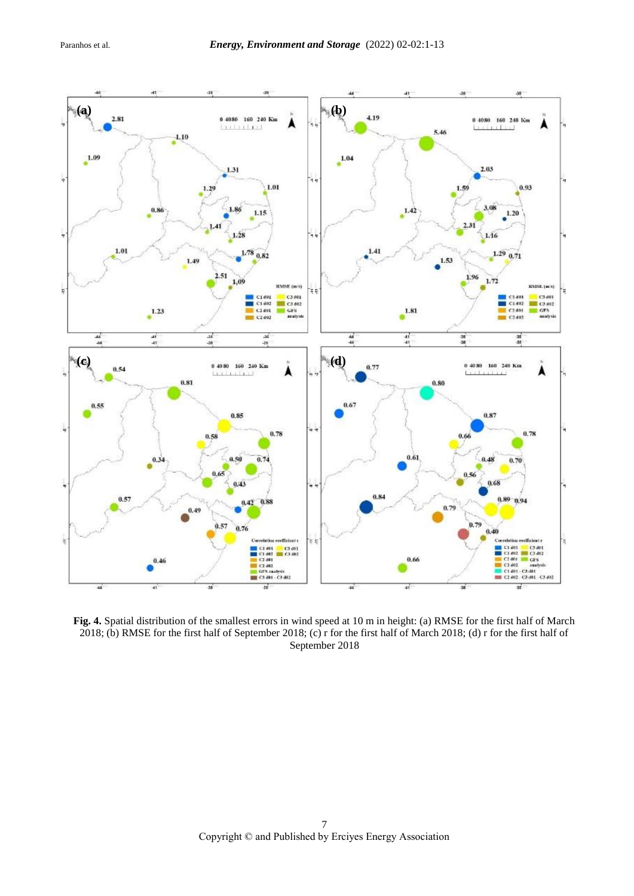

**Fig. 4.** Spatial distribution of the smallest errors in wind speed at 10 m in height: (a) RMSE for the first half of March 2018; (b) RMSE for the first half of September 2018; (c) r for the first half of March 2018; (d) r for the first half of September 2018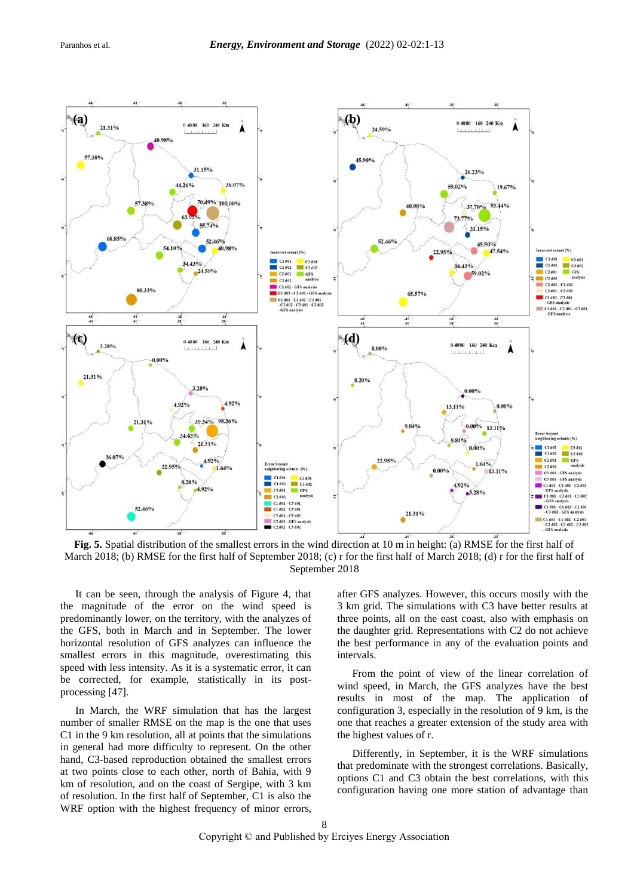

**Fig. 5.** Spatial distribution of the smallest errors in the wind direction at 10 m in height: (a) RMSE for the first half of March 2018; (b) RMSE for the first half of September 2018; (c) r for the first half of March 2018; (d) r for the first half of September 2018

It can be seen, through the analysis of Figure 4, that the magnitude of the error on the wind speed is predominantly lower, on the territory, with the analyzes of the GFS, both in March and in September. The lower horizontal resolution of GFS analyzes can influence the smallest errors in this magnitude, overestimating this speed with less intensity. As it is a systematic error, it can be corrected, for example, statistically in its postprocessing [47].

In March, the WRF simulation that has the largest number of smaller RMSE on the map is the one that uses C1 in the 9 km resolution, all at points that the simulations in general had more difficulty to represent. On the other hand, C3-based reproduction obtained the smallest errors at two points close to each other, north of Bahia, with 9 km of resolution, and on the coast of Sergipe, with 3 km of resolution. In the first half of September, C1 is also the WRF option with the highest frequency of minor errors,

after GFS analyzes. However, this occurs mostly with the 3 km grid. The simulations with C3 have better results at three points, all on the east coast, also with emphasis on the daughter grid. Representations with C2 do not achieve the best performance in any of the evaluation points and intervals.

From the point of view of the linear correlation of wind speed, in March, the GFS analyzes have the best results in most of the map. The application of configuration 3, especially in the resolution of 9 km, is the one that reaches a greater extension of the study area with the highest values of r.

Differently, in September, it is the WRF simulations that predominate with the strongest correlations. Basically, options C1 and C3 obtain the best correlations, with this configuration having one more station of advantage than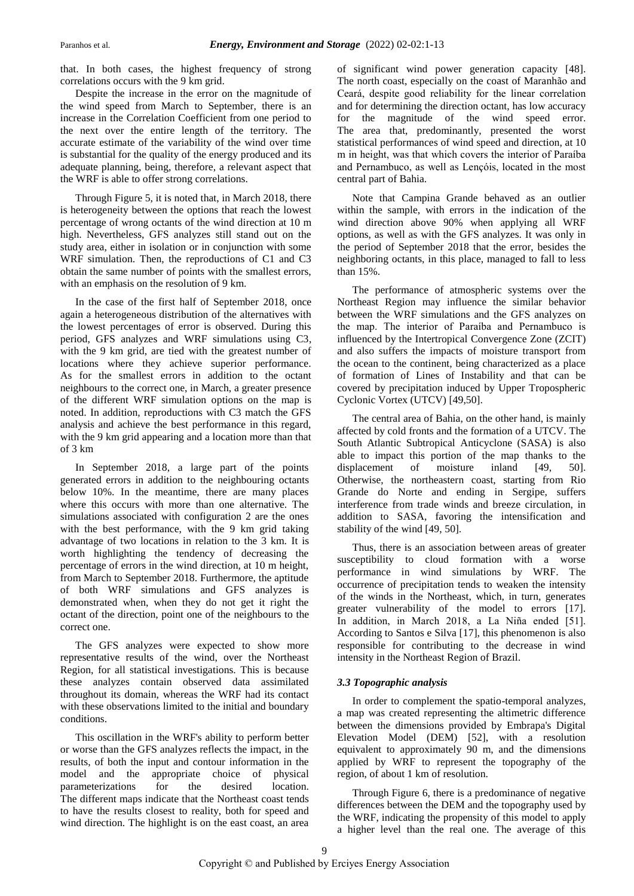that. In both cases, the highest frequency of strong correlations occurs with the 9 km grid.

Despite the increase in the error on the magnitude of the wind speed from March to September, there is an increase in the Correlation Coefficient from one period to the next over the entire length of the territory. The accurate estimate of the variability of the wind over time is substantial for the quality of the energy produced and its adequate planning, being, therefore, a relevant aspect that the WRF is able to offer strong correlations.

Through Figure 5, it is noted that, in March 2018, there is heterogeneity between the options that reach the lowest percentage of wrong octants of the wind direction at 10 m high. Nevertheless, GFS analyzes still stand out on the study area, either in isolation or in conjunction with some WRF simulation. Then, the reproductions of C1 and C3 obtain the same number of points with the smallest errors, with an emphasis on the resolution of 9 km.

In the case of the first half of September 2018, once again a heterogeneous distribution of the alternatives with the lowest percentages of error is observed. During this period, GFS analyzes and WRF simulations using C3, with the 9 km grid, are tied with the greatest number of locations where they achieve superior performance. As for the smallest errors in addition to the octant neighbours to the correct one, in March, a greater presence of the different WRF simulation options on the map is noted. In addition, reproductions with C3 match the GFS analysis and achieve the best performance in this regard, with the 9 km grid appearing and a location more than that of 3 km

In September 2018, a large part of the points generated errors in addition to the neighbouring octants below 10%. In the meantime, there are many places where this occurs with more than one alternative. The simulations associated with configuration 2 are the ones with the best performance, with the 9 km grid taking advantage of two locations in relation to the 3 km. It is worth highlighting the tendency of decreasing the percentage of errors in the wind direction, at 10 m height, from March to September 2018. Furthermore, the aptitude of both WRF simulations and GFS analyzes is demonstrated when, when they do not get it right the octant of the direction, point one of the neighbours to the correct one.

The GFS analyzes were expected to show more representative results of the wind, over the Northeast Region, for all statistical investigations. This is because these analyzes contain observed data assimilated throughout its domain, whereas the WRF had its contact with these observations limited to the initial and boundary conditions.

This oscillation in the WRF's ability to perform better or worse than the GFS analyzes reflects the impact, in the results, of both the input and contour information in the model and the appropriate choice of physical parameterizations for the desired location. The different maps indicate that the Northeast coast tends to have the results closest to reality, both for speed and wind direction. The highlight is on the east coast, an area of significant wind power generation capacity [48]. The north coast, especially on the coast of Maranhão and Ceará, despite good reliability for the linear correlation and for determining the direction octant, has low accuracy for the magnitude of the wind speed error. The area that, predominantly, presented the worst statistical performances of wind speed and direction, at 10 m in height, was that which covers the interior of Paraíba and Pernambuco, as well as Lençóis, located in the most central part of Bahia.

Note that Campina Grande behaved as an outlier within the sample, with errors in the indication of the wind direction above 90% when applying all WRF options, as well as with the GFS analyzes. It was only in the period of September 2018 that the error, besides the neighboring octants, in this place, managed to fall to less than 15%.

The performance of atmospheric systems over the Northeast Region may influence the similar behavior between the WRF simulations and the GFS analyzes on the map. The interior of Paraíba and Pernambuco is influenced by the Intertropical Convergence Zone (ZCIT) and also suffers the impacts of moisture transport from the ocean to the continent, being characterized as a place of formation of Lines of Instability and that can be covered by precipitation induced by Upper Tropospheric Cyclonic Vortex (UTCV) [49,50].

The central area of Bahia, on the other hand, is mainly affected by cold fronts and the formation of a UTCV. The South Atlantic Subtropical Anticyclone (SASA) is also able to impact this portion of the map thanks to the displacement of moisture inland [49, 50]. Otherwise, the northeastern coast, starting from Rio Grande do Norte and ending in Sergipe, suffers interference from trade winds and breeze circulation, in addition to SASA, favoring the intensification and stability of the wind [49, 50].

Thus, there is an association between areas of greater susceptibility to cloud formation with a worse performance in wind simulations by WRF. The occurrence of precipitation tends to weaken the intensity of the winds in the Northeast, which, in turn, generates greater vulnerability of the model to errors [17]. In addition, in March 2018, a La Niña ended [51]. According to Santos e Silva [17], this phenomenon is also responsible for contributing to the decrease in wind intensity in the Northeast Region of Brazil.

## *3.3 Topographic analysis*

In order to complement the spatio-temporal analyzes, a map was created representing the altimetric difference between the dimensions provided by Embrapa's Digital Elevation Model (DEM) [52], with a resolution equivalent to approximately 90 m, and the dimensions applied by WRF to represent the topography of the region, of about 1 km of resolution.

Through Figure 6, there is a predominance of negative differences between the DEM and the topography used by the WRF, indicating the propensity of this model to apply a higher level than the real one. The average of this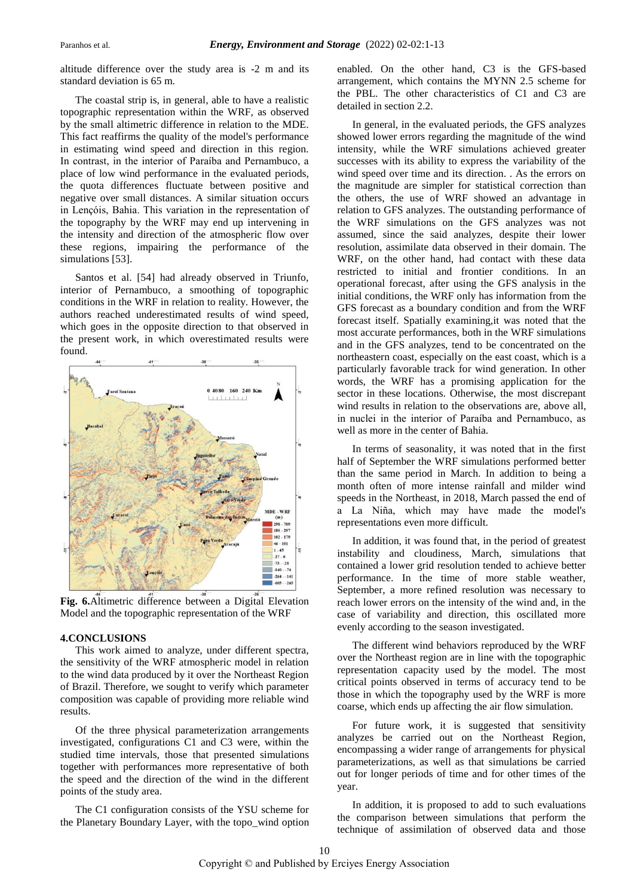altitude difference over the study area is -2 m and its standard deviation is 65 m.

The coastal strip is, in general, able to have a realistic topographic representation within the WRF, as observed by the small altimetric difference in relation to the MDE. This fact reaffirms the quality of the model's performance in estimating wind speed and direction in this region. In contrast, in the interior of Paraíba and Pernambuco, a place of low wind performance in the evaluated periods, the quota differences fluctuate between positive and negative over small distances. A similar situation occurs in Lençóis, Bahia. This variation in the representation of the topography by the WRF may end up intervening in the intensity and direction of the atmospheric flow over these regions, impairing the performance of the simulations [53].

Santos et al. [54] had already observed in Triunfo, interior of Pernambuco, a smoothing of topographic conditions in the WRF in relation to reality. However, the authors reached underestimated results of wind speed, which goes in the opposite direction to that observed in the present work, in which overestimated results were found.



**Fig. 6.**Altimetric difference between a Digital Elevation Model and the topographic representation of the WRF

## **4.CONCLUSIONS**

This work aimed to analyze, under different spectra, the sensitivity of the WRF atmospheric model in relation to the wind data produced by it over the Northeast Region of Brazil. Therefore, we sought to verify which parameter composition was capable of providing more reliable wind results.

Of the three physical parameterization arrangements investigated, configurations C1 and C3 were, within the studied time intervals, those that presented simulations together with performances more representative of both the speed and the direction of the wind in the different points of the study area.

The C1 configuration consists of the YSU scheme for the Planetary Boundary Layer, with the topo\_wind option enabled. On the other hand, C3 is the GFS-based arrangement, which contains the MYNN 2.5 scheme for the PBL. The other characteristics of C1 and C3 are detailed in section 2.2.

In general, in the evaluated periods, the GFS analyzes showed lower errors regarding the magnitude of the wind intensity, while the WRF simulations achieved greater successes with its ability to express the variability of the wind speed over time and its direction. . As the errors on the magnitude are simpler for statistical correction than the others, the use of WRF showed an advantage in relation to GFS analyzes. The outstanding performance of the WRF simulations on the GFS analyzes was not assumed, since the said analyzes, despite their lower resolution, assimilate data observed in their domain. The WRF, on the other hand, had contact with these data restricted to initial and frontier conditions. In an operational forecast, after using the GFS analysis in the initial conditions, the WRF only has information from the GFS forecast as a boundary condition and from the WRF forecast itself. Spatially examining,it was noted that the most accurate performances, both in the WRF simulations and in the GFS analyzes, tend to be concentrated on the northeastern coast, especially on the east coast, which is a particularly favorable track for wind generation. In other words, the WRF has a promising application for the sector in these locations. Otherwise, the most discrepant wind results in relation to the observations are, above all, in nuclei in the interior of Paraíba and Pernambuco, as well as more in the center of Bahia.

In terms of seasonality, it was noted that in the first half of September the WRF simulations performed better than the same period in March. In addition to being a month often of more intense rainfall and milder wind speeds in the Northeast, in 2018, March passed the end of a La Niña, which may have made the model's representations even more difficult.

In addition, it was found that, in the period of greatest instability and cloudiness, March, simulations that contained a lower grid resolution tended to achieve better performance. In the time of more stable weather, September, a more refined resolution was necessary to reach lower errors on the intensity of the wind and, in the case of variability and direction, this oscillated more evenly according to the season investigated.

The different wind behaviors reproduced by the WRF over the Northeast region are in line with the topographic representation capacity used by the model. The most critical points observed in terms of accuracy tend to be those in which the topography used by the WRF is more coarse, which ends up affecting the air flow simulation.

For future work, it is suggested that sensitivity analyzes be carried out on the Northeast Region, encompassing a wider range of arrangements for physical parameterizations, as well as that simulations be carried out for longer periods of time and for other times of the year.

In addition, it is proposed to add to such evaluations the comparison between simulations that perform the technique of assimilation of observed data and those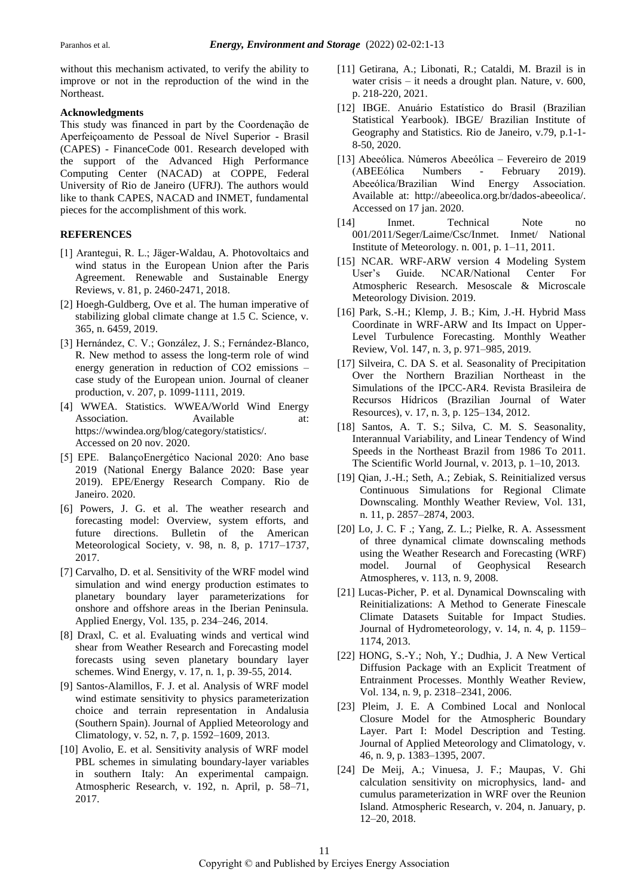without this mechanism activated, to verify the ability to improve or not in the reproduction of the wind in the Northeast.

## **Acknowledgments**

This study was financed in part by the Coordenação de Aperfeiçoamento de Pessoal de Nível Superior - Brasil (CAPES) - FinanceCode 001. Research developed with the support of the Advanced High Performance Computing Center (NACAD) at COPPE, Federal University of Rio de Janeiro (UFRJ). The authors would like to thank CAPES, NACAD and INMET, fundamental pieces for the accomplishment of this work.

## **REFERENCES**

- [1] Arantegui, R. L.; Jäger-Waldau, A. Photovoltaics and wind status in the European Union after the Paris Agreement. Renewable and Sustainable Energy Reviews, v. 81, p. 2460-2471, 2018.
- [2] Hoegh-Guldberg, Ove et al. The human imperative of stabilizing global climate change at 1.5 C. Science, v. 365, n. 6459, 2019.
- [3] Hernández, C. V.; González, J. S.; Fernández-Blanco, R. New method to assess the long-term role of wind energy generation in reduction of CO2 emissions – case study of the European union. Journal of cleaner production, v. 207, p. 1099-1111, 2019.
- [4] WWEA. Statistics. WWEA/World Wind Energy Association. Available at: https://wwindea.org/blog/category/statistics/. Accessed on 20 nov. 2020.
- [5] EPE. BalançoEnergético Nacional 2020: Ano base 2019 (National Energy Balance 2020: Base year 2019). EPE/Energy Research Company. Rio de Janeiro. 2020.
- [6] Powers, J. G. et al. The weather research and forecasting model: Overview, system efforts, and future directions. Bulletin of the American Meteorological Society, v. 98, n. 8, p. 1717–1737, 2017.
- [7] Carvalho, D. et al. Sensitivity of the WRF model wind simulation and wind energy production estimates to planetary boundary layer parameterizations for onshore and offshore areas in the Iberian Peninsula. Applied Energy, Vol. 135, p. 234–246, 2014.
- [8] Draxl, C. et al. Evaluating winds and vertical wind shear from Weather Research and Forecasting model forecasts using seven planetary boundary layer schemes. Wind Energy, v. 17, n. 1, p. 39-55, 2014.
- [9] Santos-Alamillos, F. J. et al. Analysis of WRF model wind estimate sensitivity to physics parameterization choice and terrain representation in Andalusia (Southern Spain). Journal of Applied Meteorology and Climatology, v. 52, n. 7, p. 1592–1609, 2013.
- [10] Avolio, E. et al. Sensitivity analysis of WRF model PBL schemes in simulating boundary-layer variables in southern Italy: An experimental campaign. Atmospheric Research, v. 192, n. April, p. 58–71, 2017.
- [11] Getirana, A.; Libonati, R.; Cataldi, M. Brazil is in water crisis – it needs a drought plan. Nature, v. 600, p. 218-220, 2021.
- [12] IBGE. Anuário Estatístico do Brasil (Brazilian Statistical Yearbook). IBGE/ Brazilian Institute of Geography and Statistics. Rio de Janeiro, v.79, p.1-1- 8-50, 2020.
- [13] Abeeólica. Números Abeeólica Fevereiro de 2019 (ABEEólica Numbers - February 2019). Abeeólica/Brazilian Wind Energy Association. Available at: http://abeeolica.org.br/dados-abeeolica/. Accessed on 17 jan. 2020.
- [14] Inmet. Technical Note no 001/2011/Seger/Laime/Csc/Inmet. Inmet/ National Institute of Meteorology. n. 001, p. 1–11, 2011.
- [15] NCAR. WRF-ARW version 4 Modeling System User's Guide. NCAR/National Center For Atmospheric Research. Mesoscale & Microscale Meteorology Division. 2019.
- [16] Park, S.-H.; Klemp, J. B.; Kim, J.-H. Hybrid Mass Coordinate in WRF-ARW and Its Impact on Upper-Level Turbulence Forecasting. Monthly Weather Review, Vol. 147, n. 3, p. 971–985, 2019.
- [17] Silveira, C. DA S. et al. Seasonality of Precipitation Over the Northern Brazilian Northeast in the Simulations of the IPCC-AR4. Revista Brasileira de Recursos Hídricos (Brazilian Journal of Water Resources), v. 17, n. 3, p. 125–134, 2012.
- [18] Santos, A. T. S.; Silva, C. M. S. Seasonality, Interannual Variability, and Linear Tendency of Wind Speeds in the Northeast Brazil from 1986 To 2011. The Scientific World Journal, v. 2013, p. 1–10, 2013.
- [19] Qian, J.-H.; Seth, A.; Zebiak, S. Reinitialized versus Continuous Simulations for Regional Climate Downscaling. Monthly Weather Review, Vol. 131, n. 11, p. 2857–2874, 2003.
- [20] Lo, J. C. F .; Yang, Z. L.; Pielke, R. A. Assessment of three dynamical climate downscaling methods using the Weather Research and Forecasting (WRF) model. Journal of Geophysical Research Atmospheres, v. 113, n. 9, 2008.
- [21] Lucas-Picher, P. et al. Dynamical Downscaling with Reinitializations: A Method to Generate Finescale Climate Datasets Suitable for Impact Studies. Journal of Hydrometeorology, v. 14, n. 4, p. 1159– 1174, 2013.
- [22] HONG, S.-Y.; Noh, Y.; Dudhia, J. A New Vertical Diffusion Package with an Explicit Treatment of Entrainment Processes. Monthly Weather Review, Vol. 134, n. 9, p. 2318–2341, 2006.
- [23] Pleim, J. E. A Combined Local and Nonlocal Closure Model for the Atmospheric Boundary Layer. Part I: Model Description and Testing. Journal of Applied Meteorology and Climatology, v. 46, n. 9, p. 1383–1395, 2007.
- [24] De Meij, A.; Vinuesa, J. F.; Maupas, V. Ghi calculation sensitivity on microphysics, land- and cumulus parameterization in WRF over the Reunion Island. Atmospheric Research, v. 204, n. January, p. 12–20, 2018.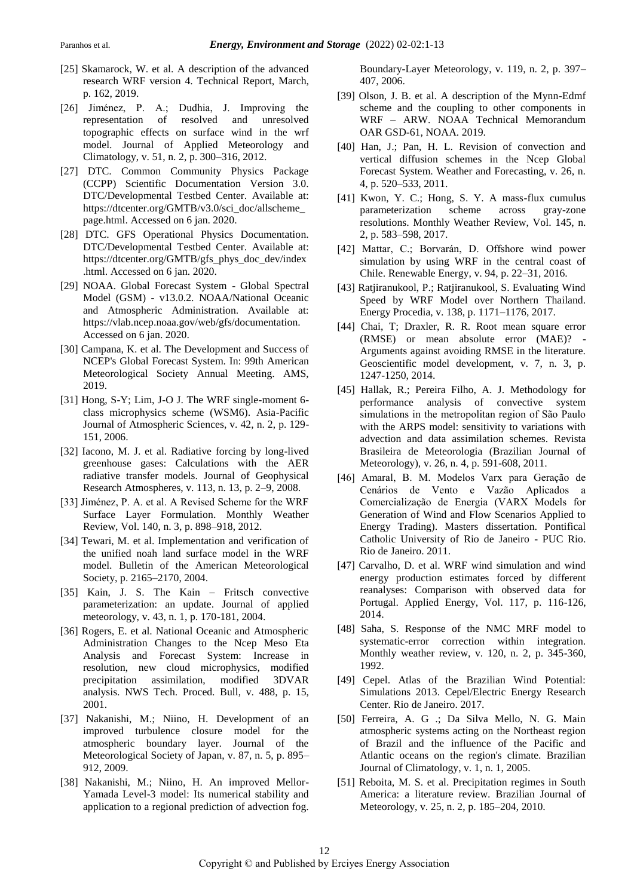- [25] Skamarock, W. et al. A description of the advanced research WRF version 4. Technical Report, March, p. 162, 2019.
- [26] Jiménez, P. A.; Dudhia, J. Improving the representation of resolved and unresolved topographic effects on surface wind in the wrf model. Journal of Applied Meteorology and Climatology, v. 51, n. 2, p. 300–316, 2012.
- [27] DTC. Common Community Physics Package (CCPP) Scientific Documentation Version 3.0. DTC/Developmental Testbed Center. Available at: https://dtcenter.org/GMTB/v3.0/sci\_doc/allscheme\_ page.html. Accessed on 6 jan. 2020.
- [28] DTC. GFS Operational Physics Documentation. DTC/Developmental Testbed Center. Available at: https://dtcenter.org/GMTB/gfs\_phys\_doc\_dev/index .html. Accessed on 6 jan. 2020.
- [29] NOAA. Global Forecast System Global Spectral Model (GSM) - v13.0.2. NOAA/National Oceanic and Atmospheric Administration. Available at: https://vlab.ncep.noaa.gov/web/gfs/documentation. Accessed on 6 jan. 2020.
- [30] Campana, K. et al. The Development and Success of NCEP's Global Forecast System. In: 99th American Meteorological Society Annual Meeting. AMS, 2019.
- [31] Hong, S-Y; Lim, J-O J. The WRF single-moment 6class microphysics scheme (WSM6). Asia-Pacific Journal of Atmospheric Sciences, v. 42, n. 2, p. 129- 151, 2006.
- [32] Iacono, M. J. et al. Radiative forcing by long-lived greenhouse gases: Calculations with the AER radiative transfer models. Journal of Geophysical Research Atmospheres, v. 113, n. 13, p. 2–9, 2008.
- [33] Jiménez, P. A. et al. A Revised Scheme for the WRF Surface Layer Formulation. Monthly Weather Review, Vol. 140, n. 3, p. 898–918, 2012.
- [34] Tewari, M. et al. Implementation and verification of the unified noah land surface model in the WRF model. Bulletin of the American Meteorological Society, p. 2165–2170, 2004.
- [35] Kain, J. S. The Kain Fritsch convective parameterization: an update. Journal of applied meteorology, v. 43, n. 1, p. 170-181, 2004.
- [36] Rogers, E. et al. National Oceanic and Atmospheric Administration Changes to the Ncep Meso Eta Analysis and Forecast System: Increase in resolution, new cloud microphysics, modified precipitation assimilation, modified 3DVAR analysis. NWS Tech. Proced. Bull, v. 488, p. 15, 2001.
- [37] Nakanishi, M.; Niino, H. Development of an improved turbulence closure model for the atmospheric boundary layer. Journal of the Meteorological Society of Japan, v. 87, n. 5, p. 895– 912, 2009.
- [38] Nakanishi, M.; Niino, H. An improved Mellor-Yamada Level-3 model: Its numerical stability and application to a regional prediction of advection fog.

Boundary-Layer Meteorology, v. 119, n. 2, p. 397– 407, 2006.

- [39] Olson, J. B. et al. A description of the Mynn-Edmf scheme and the coupling to other components in WRF – ARW. NOAA Technical Memorandum OAR GSD-61, NOAA. 2019.
- [40] Han, J.; Pan, H. L. Revision of convection and vertical diffusion schemes in the Ncep Global Forecast System. Weather and Forecasting, v. 26, n. 4, p. 520–533, 2011.
- [41] Kwon, Y. C.; Hong, S. Y. A mass-flux cumulus parameterization scheme across gray-zone resolutions. Monthly Weather Review, Vol. 145, n. 2, p. 583–598, 2017.
- [42] Mattar, C.; Borvarán, D. Offshore wind power simulation by using WRF in the central coast of Chile. Renewable Energy, v. 94, p. 22–31, 2016.
- [43] Ratjiranukool, P.; Ratjiranukool, S. Evaluating Wind Speed by WRF Model over Northern Thailand. Energy Procedia, v. 138, p. 1171–1176, 2017.
- [44] Chai, T; Draxler, R. R. Root mean square error (RMSE) or mean absolute error (MAE)? - Arguments against avoiding RMSE in the literature. Geoscientific model development, v. 7, n. 3, p. 1247-1250, 2014.
- [45] Hallak, R.; Pereira Filho, A. J. Methodology for performance analysis of convective system simulations in the metropolitan region of São Paulo with the ARPS model: sensitivity to variations with advection and data assimilation schemes. Revista Brasileira de Meteorologia (Brazilian Journal of Meteorology), v. 26, n. 4, p. 591-608, 2011.
- [46] Amaral, B. M. Modelos Varx para Geração de Cenários de Vento e Vazão Aplicados a Comercialização de Energia (VARX Models for Generation of Wind and Flow Scenarios Applied to Energy Trading). Masters dissertation. Pontifical Catholic University of Rio de Janeiro - PUC Rio. Rio de Janeiro. 2011.
- [47] Carvalho, D. et al. WRF wind simulation and wind energy production estimates forced by different reanalyses: Comparison with observed data for Portugal. Applied Energy, Vol. 117, p. 116-126, 2014.
- [48] Saha, S. Response of the NMC MRF model to systematic-error correction within integration. Monthly weather review, v. 120, n. 2, p. 345-360, 1992.
- [49] Cepel. Atlas of the Brazilian Wind Potential: Simulations 2013. Cepel/Electric Energy Research Center. Rio de Janeiro. 2017.
- [50] Ferreira, A. G .; Da Silva Mello, N. G. Main atmospheric systems acting on the Northeast region of Brazil and the influence of the Pacific and Atlantic oceans on the region's climate. Brazilian Journal of Climatology, v. 1, n. 1, 2005.
- [51] Reboita, M. S. et al. Precipitation regimes in South America: a literature review. Brazilian Journal of Meteorology, v. 25, n. 2, p. 185–204, 2010.